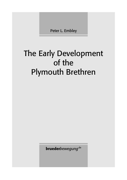Peter L. Embley

## The Early Development of the Plymouth Brethren

bruederbewegung<sup>.de</sup>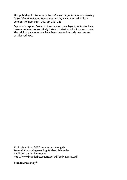First published in: *Patterns of Sectarianism. Organisation and Ideology in Social and Religious Movements*, ed. by Bryan R[onald] Wilson, London (Heinemann) 1967, pp. 213–243.

Diplomatic reprint. Owing to the changed page layout, footnotes have been numbered consecutively instead of starting with 1 on each page. The original page numbers have been inserted in curly brackets and smaller red type.

© of this edition: 2017 bruederbewegung.de Transcription and typesetting: Michael Schneider Published on the internet at http://www.bruederbewegung.de/pdf/embleyessay.pdf

brueder*bewegung*.de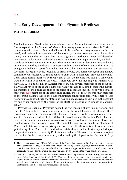## **The Early Development of the Plymouth Brethren**

## PETER L. EMBLEY

THE beginnings of Brethrenism were neither spectacular nor immediately indicative of future expansion; the founders of what within twenty years became a sizeable Christian community with over six thousand adherents in Britain had no programme, manifesto or creed, and their actions were dictated far more by common sentiment than by explicit theory. On a Sunday in November, 1829, a group of perhaps a dozen self-described 'evangelical malcontents' gathered in a room at 9 Fitzwilliam Square, Dublin, and held a simple extempore communion service. They came from various denominations and were largely motivated by the desire to express visibly in the act of communion their unity as evangelical believers, apart from what they felt to be denominational and sectarian restrictions.<sup>1</sup> A regular weekly 'breaking of bread' service was commenced, but that the new community was designed so that it could co-exist with its members' previous denominational affiliations is indicated by the fact that at first the meeting was held at a time which would not clash with church services. As numbers grew the meeting was transferred in May, 1830, to a public hall in Aungier Street, Dublin; several members of the group initially disapproved of the change, almost certainly because they could foresee the inevitable outcome of the public adoption of the status of a separate church. Those who hesitated most were {214} members of the established church, most of the Nonconformist members of the group having severed their denominational connections some while before. This hesitation to adopt publicly the status and position of a church appears also in the account by one of its founders of the origin of the Brethren meeting at Plymouth in January, 1832.<sup>2</sup>

Providence Chapel at Plymouth housed the first meeting of any size in England, and the title 'Plymouth Brethren' was generated by the rapid focusing of influence there through preaching and publication. Theologically, the early Brethren were moderate Calvinists – Anglican seceders of High Calvinist convictions usually became Particular Baptists – strongly anti-Erastian, and were endowed with considerable prophetic interest and a not unconnected missionary zeal. The complete rejection of any form of union of Church and State was a not surprising reaction to the ultra-Erastianism of even the evangelical wing of the Church of Ireland, whose establishment and authority depended upon the political situation of minority Protestant ascendancy. The overseas missionary aspirations of the Brethren were temporarily exhausted by the departure for Baghdad in Sep-

<sup>1</sup> The recollections of John Gifford Bellett, one of the Dublin founders of the Brethren, in a letter to James McAllister dated 7 June, 1858, with later appended notes by Darby, Wigram, Cronin and Stoney, circulated for years in manuscript among Brethren, and extracts appeared in printed tracts. Cronin's note is especially valuable for the Dublin origins. The notes by Cronin and Stoney are dated July, 1871.

<sup>2 &#</sup>x27;Newton Memoirs', pp. 254 and 259. This manuscript book, in possession of Mr C. E. Fry, was compiled by his father from material written by F.W. Wyatt, a colporteur who spent some years with Newton and copied down his reminiscences in a system of shorthand. The material needs to be treated with caution since it was Newton's recollection in old age at a time when his views were strongly antagonistic to Brethrenism, and there are many inaccuracies in dating.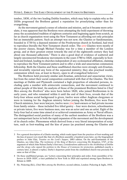tember, 1830, of the two leading Dublin founders, which may help to explain why as the 1830s progressed the Brethren gained a reputation for proselytising rather than for evangelising.

As the movement gained a sense of cohesion and mission, and as it became more articulate, it was apparent that the Brethren were attempting the bold experiment of throwing away the accumulated tradition of eighteen centuries and beginning again from scratch, as far as church organisation went using the New Testament as affording not only principles but an immutable pattern. Such an attempt was not new; the Glasites or Sandemanians, founded in 1730 by a deposed minister of the Presbyterian church in Scotland, had tried to reproduce literally the New Testament church order. The {215} Glasites were mostly of the poorer classes, though Michael Faraday was for a time a member of the London group, and at their greatest extent towards the end of the eighteenth century they had about one thousand adherents. $3$  There is also a good deal of evidence of scattered and largely unconnected breakaway movements in the years 1780 to 1820, especially in Scotland and Ireland, leading to churches independent of any ecclesiastical affiliation, claiming to reproduce the New Testament pattern and to offer a wide and unsectarian communion fellowship. Both the Glasites and these unaffiliated churches were strongly anti-Erastian, and invariably rejected any form of the separated ministry; they also practised weekly communion which was, at least in theory, open to all evangelical believers.<sup>4</sup>

The Brethren held precisely similar anti-Erastian, anticlerical and unsectarian views, but from the outset their social composition contrasted with that of the Glasites. The first meetings at Dublin and Plymouth contained a high proportion of educated persons, including quite a number with aristocratic connections, and the movement continued to attract people of this kind. An analysis of those of the prominent Brethren listed in *Chief* Men among the Brethren<sup>5</sup> who were born before 1820, who joined Brethrenism in its early years, and who remained within it until the end of their lives, reveals that of the forty-four whose social background is given, twelve were either Anglican clergymen or were in training for the Anglican ministry before joining the Brethren, five were Free Church ministers, four were lawyers, twelve were {216} land-owners or had private income from family estates – these included five titled gentry – four were doctors, schoolmasters or private tutors, five were business men, one was an actor and one an artist. Eight of the forty-four had at some time aimed at or achieved commissions as Army or Naval officers. The distinguished social position of many of the earliest members of the Brethren was a not unimportant factor in both the rapid expansion of the movement and the development of its church order. Phenomena which derived from a very literal interpretation of scripture, such as foot-washing and the kiss of peace (as practised among the Glasites and

<sup>3</sup> For a general description of a Glasite meeting, which reads (apart from the practices of foot-washing and the kiss of peace) very much like that of a Brethren assembly a hundred years later, see the biographical preface to John Glas, *Treatise on the Lord's Supper*, 1883 edition. On the anti-Erastianism of the Glasites, see John Glas, *The testimony of the King of Martyrs concerning His Kingdom*, 1727, of the argument of which John Nelson Darby's first tract, *Considerations addressed to the Archbishop of Dublin and the clergy who signed the petition to the House of Commons for protection*, published exactly a century later, is almost a replica. Darby's departure point from the established church was precisely the same as that of Glas.

<sup>4</sup> On these unaffiliated groups, see 'Letters concerning their principles and order, from assemblies of believers in 1818–1820', a tract published in New York in 1820 and reprinted among Open Brethren in Britain in 1889.

<sup>5</sup> Hy. Pickering (Ed.), *Chief Men among the Brethren*, second edition, London: Pickering & Inglis, 1931.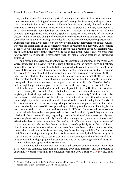many small groups), glossalalia and spiritual healing (as practised in Brethrenism's developing contemporary Irvingism) never appeared among the Brethren, and apart from a brief campaign in favour of 'tongues' at Plymouth which was quickly checked by the appearance of Irving's doctrinal unorthodoxy about the person of Christ, seem never to have been seriously considered as possibilities.<sup>6</sup> Irvingism also attracted an affluent clientèle, although those who actually spoke in 'tongues' were usually of the poorer classes, and a noticeable change of emphasis in worship from emotionalism to mysticism took place gradually after Irving's early death. The more open emotional opportunities in Irvingism were initially generated by the vividly imaginative temperament of the founder, whereas the originators of the Brethren were men of restraint and decorum. The resulting delicacy in worship and social convention among the Brethren probably explains why much later in the nineteenth century well-to-do people often found it easier to pass from Anglicanism to Plymouth Brethrenism than to many longer-established dissenting churches.

The Brethren possessed an advantage over the unaffiliated churches of the 'New York Correspondence' by having from the start a strong sense of family unity and affinity among their scattered assemblies. Initially this was due to common origins, except in the cases of Bristol and Barnstaple where existing Baptist communities gradually became Brethren {217} assemblies, but it was more than this. The increasing cohesion of Brethrenism was generated not by the creation of a formal organisation, which Brethren universally rejected, but through the influence of personalities widely known in the movement, through the dissemination of tracts and a quarterly review entitled *The Christian Witness*, and through the prominence given to the doctrine of the 'one body' – the invisible Church of all true believers, united under the sole headship of Christ. (The Brethren did not claim to be exclusively this invisible Church, but at least to a certain extent they saw themselves as giving it physical expression in a visible, demarcated community.) Of these factors by far the most crucial was that of the influence of dominant personalities who impressed their insights upon the communities which looked to them as spiritual guides. The rise of Brethrenism as a movement following principles of minimal organisation, can indeed be understood only in terms of the role played by a relatively small number of leading brethren; those most disposed to travel and to minister in different places were those who came to exert wide influence by sheer personal charisma, and particularly so if they were identified with the movement's very beginnings. At the local level there were usually men who, though formally and nominally 'one brother among others', were in fact the real and effective leaders of their communities. Very often this effective leadership was generated in practical ways: such men had been the first to secede publicly from the local Parish church, they were the more educated and wealthier members of the community, they owned the chapel where the Brethren met, they bore the responsibility for communion discipline and inviting visiting preachers. As Brethrenism spread, the differing insights of local leaders led inevitably to tensions within the movement, and the influence of dominant individuals and geographical areas was decisive in the resulting schism of 1848 and in many subsequent splits within Exclusivism.

Two elements which remained constant in all sections of the Brethren, even after 1848, were the complete rejection of a formally appointed ministry, and the practice of charismatic worship especially in connection with the Lord's Supper {218} service. Such

<sup>6</sup> Captain Hall hoped that the 'gift of tongues' would appear at Plymouth, but Newton carried the day against him. 'Newton Memoirs', *op. cit.*, pp. 252 and 257.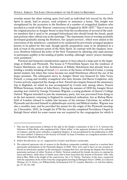worship meant the silent waiting upon God until an individual felt moved by the Holy Spirit to speak, lead in prayer, read scripture or announce a hymn. This insight was strengthened by the accession to the Brethren of a number of evangelical Quakers who seceded as a result of the 'Beacon' controversy in England in 1835–1837.<sup>7</sup> That it was not the original practice at Aungier Street is clear from the recollections of several of the earliest members that it used to be arranged beforehand who should break the bread, speak and perform other official acts at the meetings.<sup>8</sup> The charismatic form of worship probably developed gradually among the Brethren, but 'gospel services', which were aimed at the conversion of the unbeliever, continued to be conducted by previously arranged speakers known to be gifted for this task, though specific preparation came to be disdained as a lack of trust in the present action of the Holy Spirit. In contrast with the Quakers, however, Brethren followed the letter of the New Testament by allowing only male persons to participate audibly in the leading of public worship, although 'sisters' prayer meetings' were permitted.<sup>9</sup>

Practical and financial considerations appear to have played a large part in the beginnings at Dublin and Plymouth. The house at 9 Fitzwilliam Square was the residence of Francis Hutchinson, son of the Archdeacon of Killala; Hutchinson had already been attending a weekly breaking-of-bread {219} service at the house of Edward Cronin, a young dental student, but when this venue became too small Hutchinson offered the use of his larger premises. The subsequent move to Aungier Street was financed by John Vesey Parnell, a young and wealthy evangelical who later became 2nd Baron Congleton; only Cronin actively supported the change at first. Parnell also largely financed the missionary trip to Baghdad, on which he was accompanied by Cronin and, among others, Francis William Newman, brother of John Henry. During the summer of 1830 the Aungier Street meeting was visited by George Vicesimus Wigram, a young graduate of Queen's College Oxford. Wigram intended to join the missionary party, but was prevented from doing so at the last moment; returning to England he considered ordination, but as Bishop Blomfield of London refused to ordain him because of his extreme Calvinism, he settled at Plymouth and devoted himself to philanthropic activity and Biblical studies. Wigram was also a wealthy man, and he provided the means for the origin of the Plymouth meeting; on 2 December, 1831, he bought for £750 the recently completed Providence Chapel in Raleigh Street which for some reason was not required by the congregation for which it

<sup>7</sup> This was the repercussion in Britain of the split in the Quaker community in the U. S. A. between the followers of Elias Hicks, who emphasised the 'Christ within' to the apparent detriment of the authority of scripture, and the more orthodox evangelical Quakers. It was precipitated by the publication in 1835 of a tract entitled 'A Beacon to the Society of Friends' by Isaac Crewdson, an evangelical member of the Manchester Quarterly Meeting.

<sup>8</sup> *Bellett Recollections*, *op. cit.*, supported by Cronin's and Stoney's postscripts.

<sup>9</sup> The enforced quiescent role of women in the Brethren community probably caused as a reaction their spectacular participation in the Plymouth dispute of 1845. They were said to have on one occasion silenced an unwelcome speaker at the meeting by scraping their feet, and during the dispute they became passionate partisans of either Newton or Darby. Newton employed his female devotees in copying his tracts and letters, while those of Darby were said to have boycotted the funeral of Newton's wife, who died in May 1846 at the height of the controversy. See J. N. Darby, 'Narrative of the facts, connected with the separation of the writer from the congregation meeting in Ebrington Street' (1846), in *Collected Writings of J.N. Darby*, ed. William Kelly, Ecclesiastical Vol. IV, London: Morrish, n.d., but first edition, pp. 57, 61, 81, 100.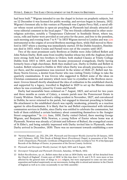had been built.<sup>10</sup> Wigram intended to use the chapel to lecture on prophetic subjects, but on 12 December it was licensed for public worship, and services began in January, 1832. Wigram's foremost ally in this venture at Plymouth was Captain Percy Hall, a naval officer whose recent activities in open-air preaching at Plymouth had already attracted adverse editorial comment in the local paper.<sup>11</sup> The two friends collaborated in other socioreligious activities, notably a 'Temperance Clubroom' in Southside Street, where tea, cocoa, rolls and butter were provided at cost price for the poor, and free to the penniless, each morning and evening from 7 to 9.<sup>12</sup> In 1833 Wigram moved to London and was  $\frac{220}{2}$ instrumental in the origins of several Brethren meetings there, while Hall moved to Hereford in 1837 where a meeting was immediately started. Of the Dublin founders, Hutchinson died in 1833, while Cronin and Parnell were out of the country until 1837.

Two of the most prominent early Brethren at Dublin were John Gifford Bellett and John Nelson Darby. Both came from wealthy families whose ties with the Anglican church were strong; both had two brothers in Orders; both studied Classics at Trinity College Dublin from 1815 to 1819, and both became pronounced evangelicals, Darby having formerly been a high churchman. Both then studied Law, Darby in Dublin and Bellett in London. Bellett returned to Dublin in 1822 when Darby was already practising as a lawyer there, and the acquaintance was renewed. In the winter of 1826–27, Bellett met Anthony Norris Groves, a dentist from Exeter who was visiting Trinity College to take the quarterly examinations. It was Groves who suggested to Bellett some of the ideas on Christian communion and ministry which were later to crystallise in the Brethren movement. Groves himself shortly abandoned the idea of ordination in the established church, and supported by a legacy, travelled to Baghdad in 1829 to set up the Mission station where he was eventually joined by Cronin and Parnell.

Darby had meanwhile been ordained on 7 August, 1825, and served for two years and three months as curate of Calary, a remote parish near the Powerscourt Estate in County Wicklow. Darby suffered a riding accident in November, 1827, and convalesced in Dublin; he never returned to his parish, but engaged in itinerant preaching in Ireland. His attachment to the established church was rapidly weakening, primarily as a reaction against its ultra-Erastianism. It is likely that he and Bellett experimented with informal communion services in Dublin, since Darby was entitled to celebrate the communion, but both of them exhibited a certain hesitancy about committing themselves to the Aungier Street congregation.<sup>13</sup> In  $\{221\}$  June, 1830, Darby visited Oxford, there meeting George Wigram, and Benjamin Wills Newton, a young Fellow of Exeter whose home was at Plymouth. Newton was already a Calvinist and follower of Bulteel, the evangelical curate of St Ebbe's, and being suitably impressed with Darby invited him to Plymouth, where Darby arrived in December, 1830. There was no movement towards establishing a new

<sup>10 &#</sup>x27;Newton Memoirs', pp. 252, 254, 259. *Plymouth and Devonport Weekly Journal* for 20 January, 1831 and 3 February, 1831, Title Deeds of Raleigh Street (Providence) Chapel, in possession of the Town Clerk's Department, Plymouth. Certificate of Registration for public worship in Vol. 91 of the Episcopal Records of the Bishops of Exeter, in possession of the Devon County Archivist.

<sup>11</sup> *Plymouth and Devonport Weekly Journal*, 14 April, 1831 and 4 August, 1831.

<sup>12</sup> *Devonport Telegraph and Plymouth Chronicle*, Saturday, 10 March, 1832.

<sup>13</sup> *Bellett Recollections*, *op. cit.*, Bellett states that as late as 1834 Darby was only 'all but detached from the Church of England'. Cronin says of 1830 'at this time dear J. G. B. and J. N. D. were more or less affected by the general state of things in {221} religion, but were unprepared to come out into entire separation and looked suspiciously on our movements, feeling able to attend and minister in the Church of England as well as to come occasionally to our little assembly'.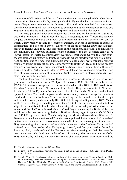community of Christians, and the two friends visited various evangelical churches during the vacation. Newton and Darby were again both in Plymouth when the services at Providence Chapel were commenced in January, 1832, and both attended from the outset, though Newton recalled that the decision to commence a public communion service was Wigram's and that he and Darby were surprised and perturbed at the move.<sup>14</sup>

The crisis point had now been reached for Darby, and on his return to Dublin he wrote that 'Plymouth ... has altered the face of Christianity to me.'<sup>15</sup> From this moment the pace quickened towards the growth of Brethrenism as a distinct ecclesiastical unit, of which Darby rapidly became the foremost architect. Fearless in argument, masterly in organisation, and tireless in travels, Darby went on his preaching tours indefatigably, mostly in Ireland until 1837, and thereafter on the continent. In Ireland, London and on the continent, his spiritual authority reigned supreme, and the Brethren came to be known, except in England, as 'Darbyites' (Darbystes, Darbisten). Only in the West country was Darby's supremacy in doubt, at Plymouth where Newton was rising to a prominent position, and at Bristol and Barnstaple where local leaders were gradually bringing originally Baptist congregations into conformity with Brethren ideals, and in the process stepping down from their formal ministerial positions while retaining their authority as spiritual guides. Darby became adept at {222} capitalising on evangelical discontent, and several times was instrumental in founding Brethren meetings in places where Anglican clergy had recently seceded.

The best-documented example of the kind of process which repeated itself in various places, was the block secession at Westport, Co. Mayo, in 1835–36.<sup>16</sup> The incumbent from 1799 to 1835 was an evangelical, but he was not resident after 1822. In 1833 Archbishop Trench of Tuam sent Rev. J. M. Code and Rev. Charles Hargrove as curates to Westport. In February, 1835 a Plymouth Brother named Hirchfield arrived at Westport, and without opposition from Code and Hargrove – who were already extreme evangelicals – ministered in the church schoolroom. Trench wrote asking that he should be denied the pulpit and the schoolroom, and eventually Hirchfield left Westport in September, 1835. Meanwhile Code and Hargrove, chafing at what they felt to be the impure communion fellowship of the established church, which by resting all on formal profession allowed the wheat and the chaff to be inextricably confused, began a meeting for Bible ministry at which, what by now were recognisable as Brethren views, began to appear. On 30 October, 1835, Hargrove wrote to Trench resigning, and shortly afterwards left Westport. In December a new incumbent named Pounden was appointed, but no sooner had he arrived at Westport than a group of discontented evangelicals among the congregation wrote to Hargrove asking him to return and establish a meeting of the Brethren. Hargrove had suffered an accident, so he asked Darby to go instead, and Darby arrived at the end of January, 1836, closely followed by Hargrove. A private meeting was held between the new incumbent, who had been inducted on 22 January, the remaining curate Code, Hargrove, Darby and Rev. J. d'Arcy Sirr, rector of a nearby parish who represented the

<sup>14 &#</sup>x27;Newton Memoirs', *op. cit.*, pp. 254 and 259.

<sup>15</sup> *Letters of J. N. D.*, London: Morrish, Vol. III, n. d. but 1st bound edition, p. 490. Letter from Dublin, 13 April, 1832.

<sup>16</sup> Joseph d'Arcy Sirr, 'A dissuasive from separation: a letter to some wavering friends at Westport', Dublin, 3 February, 1836; also 'Reasons for abiding in the Established church – a letter to Rev. Charles Hargrove', Dublin, 1836; also *Memoir of Archbishop Le Poer Trench*, Dublin, 1845, Chapter VII. Charles Hargrove, *Reasons for retiring from the established church*, London: second edition, 1838.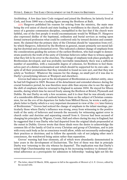Archbishop. A few days later Code resigned and joined the Brethren; he latterly lived at Cork, and from 1840 was a leading figure among the Brethren at Bath.

{223} Hargrove published his reasons for retiring from the ministry, the main ones being the evil union of church and state leading to worldliness in the church, and the absence of a genuine communion discipline, exemplified in the fact that if the church were faithful, one of the first people it would excommunicate would be William IV. Hargrove also expressed dislike of the baptismal, ordination and burial services as resting upon formal outward profession what could be conferred only by inward decision and commitment. He claimed that the primary duty of the Christian should be 'separation from evil', by which Hargrove, followed by the Brethren in general, meant primarily not moral failing but doctrinal and ecclesiastical error. This indicated a distinct change of emphasis from the considerations guiding the actions of the earliest Brethren, who had sought to demonstrate positively the truth of the unity of Christian believers rather than to witness against what they felt to be error in the churches. The change of emphasis took place gradually as Brethrenism developed, and was probably inevitable immediately there was a sufficient number of assemblies, with a reasonable degree of cohesion, for Brethren to feel themselves part of a distinct ecclesiastical unit which should be supported for its own sake – in spite of all their protestations that they intended to found no new sect, and that they met solely as 'brethren'. Whatever the reasons for the change, no small part of it was due to Darby's proselytising labours at Westport and elsewhere.

Groves had taken no part in the development of Brethrenism as a distinct entity, since he had left England in 1829. Because of his detachment and extended absence during the crucial formative period, he was therefore more able than anyone else to see the signs of the shift of emphasis when he returned to England in autumn 1834. He stayed for fifteen months, during which time he moved freely among the Brethren at Bristol, Plymouth and Dublin. He met Darby on only a few occasions, and it is clear that he was already aware of a considerable difference of outlook between them on the subject of Christian communion, for on the eve of his departure for India from Milford Haven, he wrote a sadly prophetic letter to Darby which is a very important document in view of the {224} later history of Brethrenism.<sup>17</sup> Groves had noticed the change of emphasis in the infant meetings, particularly those where Darby's influence was strong, away from witnessing to the positive truth of the unity of believers and towards the necessity for witnessing against error in church order and doctrine and separating oneself from it. Groves had been accused of changing his principles by Wigram, Cronin, Hall and others during his stay in England; but he suggested that it was Darby who had departed from the original ideals propounded at the outset in Dublin. Groves wrote that these ideals were the desire to acknowledge the common life of the family of God in every Christian and group of Christians, and to join with every such body as far as conscience would allow, while not necessarily endorsing all their practices or doctrines; and to follow the apostolic rule of not judging other men's consciences, the watchword being union rather than separation.

Groves' warning had four elements, all of which were abundantly demonstrated in later years in the development of Exclusivism. The first of these was that in principle Darby was 'returning to the city whence he departed'. The implication was that Darby's initial High Churchmanship was reappearing in his increasing tendency to demand doctrinal adherence as a prerequisite for admission to fellowship: 'making light not life the

<sup>17</sup> The letter, dated 10 March, 1836, appears in full in the appendix of *Memoir of A. N. Groves*, edited by his second wife.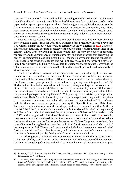measure of communion' – 'your union daily becoming one of doctrine and opinion more than life and love' – 'you will see all the evils of the systems from which you profess to be separated, to spring up among yourselves'. Darby might have replied that even from the first a minimum of correct doctrine was needed to qualify for communion, since there must be some criterion of belief by which to test the validity of a person's Christian experience, but it is clear that the required minimum was vastly widened as Brethrenism developed into a coherent system.

Second, Groves warned that the Brethren would come to be known more for what they witnessed against than for what they witnessed for: 'practically this will prove that you witness against all but yourselves, as certainly as the Walkerites or {225} Glassites'. This was a remarkably accurate prophecy of the public image of Brethrenism later in the century. Third, Groves warned of the danger that this tendency gave every opportunity for bigotry and the prominence of human authority: 'the position which this occupying the seat of judgement will place you in will be this: the most narrow-minded and bigoted will rule, because his conscience cannot and will not give way, and therefore the more enlarged heart must yield.' Finally, Groves laid the personal charge against Darby that the infant meetings were looking to him as their founder when they should be looking only to Christ as their Head.

The letter in which Groves made these points sheds very important light on the development of Darby's thinking in this crucial formative period of Brethrenism, and when compared with his surviving letters of 1832–34 makes it quite clear that he had changed, if not his conscious principles, at least his methods of putting them into practice. In 1832 Darby had written that he wished for 'a little more principle of largeness of communion' at the Bristol chapels, and in 1833 had exhorted the brethren at Plymouth with the words 'the moment you cease to be an available mount of communion for any consistent Christian, you will go to pieces or help the evil.'<sup>18</sup> Yet speaking of Exclusivism (whose principal architect was Darby) later in the century, one writer charged that it began with the principle of universal communion, but ended with universal excommunication.<sup>19</sup> Groves' more catholic ideals were, however, preserved among the Open Brethren, and Bristol and Barnstaple continued to represent the most open and broad communion within Brethrenism. At Bristol the Brethren leaders were George Müller (famed for his Orphanage work) and Henry Craik, who had accepted the joint pastorate of Gideon and Bethesda chapels in 1832 and who gradually introduced Brethren practices of charismatic {226} worship, open communion and membership, and the absence of both stated salary and formal authority for the pastorate. At Barnstaple the leader was Robert Chapman, who slowly but surely liberalised along Brethren lines the small Strict Baptist community of which he had become pastor in 1832. The tact and caution with which these three men proceeded called forth some criticism from other Brethren, and their cautious methods appear in sharp contrast to those employed by Darby in his later ecclesiastical dealings.

The differing trends within the Brethren community in Britain in the 1830s are shown in sharper relief by consideration of the three main fields of expansion of the movement: the itinerant preaching of Darby, and linked with him the work of his staunch ally Wigram

<sup>18</sup> *Letters of J.N.D.*, London: Morrish, Vol. I (see note 14), p. 10 (letter 15 October, 1832) and p. 21 (letter received 30 April, 1833).

<sup>19</sup> A. A. Rees, *Four Letters,* Letter I. Quoted and commented upon by W. B. Neatby, *A History of the Plymouth Brethren*, London: Hodder & Stoughton, 1901, p. 59. Neatby's is by far the most objective account of the development of Brethrenism, though based on poor primary sources for the early days.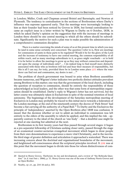in London; Müller, Craik and Chapman around Bristol and Barnstaple; and Newton at Plymouth. The tendency to centralisation in the sections of Brethrenism where Darby's influence was supreme appeared early. That the meetings were increasingly looking to him as their founder had been noticed by Groves in 1836, but formal centralisation became an explicit issue in a letter written by Wigram to Darby on 6 October, 1838, in which he asked Darby's opinion on the suggestion that with the increase of meetings in London there should be one central meeting to which all the others should be subordinate. Significantly the motive for such a plan was to make possible the administration of a comprehensive communion discipline:

There is a matter exercising the minds of some of us at this present time in which you may be (and in some sense certainly are) concerned. The question I refer to is, How are meetings for communion of saints in these parts to be regulated? Would it be for the glory of the Lord and the increase of testimony to have one central meeting, the common responsibility of all within reach, and as many meetings subordinate to it, as grace might vouchsafe – or to hold it to be better to allow the meetings to grow up as they may without connection and dependent upon the energy of individuals only? … I do indeed long to find myself more distinctly associated with those who as brethren will feel and bear their measure of responsibility, but this is all I can say; for truly, provided there be in London some place {227} where the wanderer can find rest and communion, my desire is met …<sup>20</sup>

The problem of church government was bound to arise when Brethren assemblies became numerous, and Wigram's letter indicates two perfectly distinct attitudes prevalent among Brethren to this matter; one was that the government of the local church, including the question of reception to communion, should be entirely the responsibility of those acknowledged as local leaders, and the other was that some form of metropolitan organisation should be established. Darby's reply to Wigram's letter has not survived, but the latter course was ultimately taken in Exclusivism in spite of the nominal retention of local autonomy. The beginnings of the development of the Saturday metropolitan meeting of Exclusives in London may probably be traced to this initial move towards a federation of the London meetings; at the end of the nineteenth century the decree of 'Park Street' had become a fiat carrying all the authority of a Papal Bull.<sup>21</sup> To Darby and the Exclusives the principle of 'independency' asserted by the Open Brethren after 1848 was confusion. It meant that the decision whether or not to admit an individual to communion was left entirely to the elders of the assembly to which he applied, and this implied the risk – apparently contrary to the ideal of the church as 'one body' – that a doubtful case might be rejected at one meeting but admitted at the next.

Brethrenism in its first twenty years had thus passed through several stages: it began as a pre-separatist fellowship of Christians seeking closer unity, passed through the stage of an ecumenical counter-sectarian evangelical movement which began to draw people from their own denominations to experience a more vital Christianity, and in the inevitable third stage of greater definition and articulation it approached a watershed. There was increasing concern about the doctrinal and organisational boundaries of the movement, and heightened self-consciousness about the scriptural principles involved. It {228} was at this point that the movement began to divide into those for whom distinctiveness of com-

<sup>20</sup> Quoted in Henry Groves, 'Darbyism: its rise and development, and a review of "the Bethesda Question"' (n. d. tract but c. 1866), p. 11. Henry Groves was one of the sons of Anthony Norris Groves and an Open Brother.

<sup>21</sup> Neatby, *op. cit.*, pp. 214–16 and p. 303.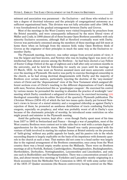mitment and association was paramount – the Exclusives – and those who wished to retain a degree of doctrinal tolerance and the principle of congregational autonomy as a sufficient organisational basis. This division was not fully articulate until after 1848, but it was foreshadowed in the gradual estrangement between Darby and Groves.

Most of the meetings in the West Country were visited frequently by preachers from the Bristol assembly, and were consequently influenced by the more liberal views of Müller and Craik; in 1848 almost all of them became Open Brethren assemblies with only minority Exclusive secessions, although Hall at Hereford eventually went with Darby. Groves was particularly esteemed among the members of these meetings and felt most at home there when on furlough from the mission field; today Open Brethren think of Groves as the originator of their principles in much the same way as the Exclusives remember Darby.

The Plymouth meeting, however, was rather unique from several points of view; it was the largest and best known, and Newton who was its leading figure was more of an intellectual than almost anyone among the Brethren – he had been elected a Lay Fellow of Exeter College Oxford at the age of eighteen and a half after only seventeen months in the university, and he held his Fellowship for nearly six years until his marriage on 15 March, 1832. As time went on Newton assumed more and more autocratic control over the meeting at Plymouth. His motive was partly to exercise theological censorship in the church, as he had strong doctrinal disagreements with Darby and the majority of Brethren over certain matters, particularly rejecting the doctrine of the 'any-moment' return of Christ and the 'dispensational' view of the New Testament which assigned different sections even of Christ's teaching to the different dispensations of God's dealing with men; Newton characterised this as 'grasshopper exegesis'. He exercised his control by various means: he persuaded the meeting to abandon the practice of weeknight 'care' meeting which Darby considered a safeguard of democracy; he exercised increasing {229} theological censorship (via its editor Harris) of the quarterly Plymouth publication *The Christian Witness* (1834–41) of which the last two issues quite clearly put forward Newton's views in favour of a stated ministry and a recognised eldership as against Darby's rejection of them; he promoted an assiduous distribution of tracts combating Darbyite exegesis, especially on prophecy; and what was probably worst of all in Darby's eyes because of the charismatic principle of worship, he introduced some restriction on who might preach and minister in the Plymouth meeting.

Amid the gathering tension, kept alive – even though Darby spent most of his time from 1837 to 1845 in Switzerland and France – through a war of pamphlets, most of the West country Brethren were content not to take sides but to wait with a certain degree of apprehension for the inevitable storm. Müller himself was vastly preoccupied with the venture of faith involved in starting his orphan homes at Bristol entirely on the proceeds of 'faith-giving' without any public appeals for funds, and his passive role in the whole succeeding dispute is largely explicable on the basis of his impatience with domestic quarrels in the church at such a time. That matters did not come to a head earlier was largely due to the regional arrangement of the Brethren communities; once away from the West country there was a broad empty swathe across the Midlands. There were no Brethren meetings at all in Norfolk, Rutland, Cambridgeshire, Huntingdonshire, Buckinghamshire, Hertfordshire, Derbyshire, Nottinghamshire, Leicestershire and Lincolnshire, and only one each in Bedfordshire and Northamptonshire. There was a concentration around London, and about twenty-five meetings in Yorkshire and Lancashire mostly originating in a block secession from the Methodist New Connexion in 1841–43 with some earlier relics of the 1835–37 Quaker secessions (the Beacon controversy having centred on the Man-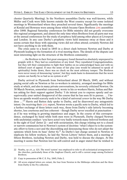chester Quarterly Meeting). In the Northern assemblies Darby was well-known, while Müller and Craik were little known outside the West country except for some isolated meetings in Westmorland where they preached several times. Significantly the meetings at Kendal and Bowness were among those which became Open Brethren {230} assemblies after 1848. Regional Saturday conferences for Bible ministry did not greatly overcome this regional arrangement, and almost the only time when Brethren from all parts met was at the annual conferences for the study of prophecy held among other places at Liverpool and London. In any case Darby's prophetic views held immense sway at these and it seems certain that those with opposing views did not often attend; certainly Newton did not have anything to do with them.

The crisis came to a head in 1845 in a direct clash between Newton and Darby at Plymouth leading to the formation of a rival meeting there. The details of the dispute cast most interesting light on the structure of the Brethren community:

… the Brethren in their first great emergency found themselves absolutely unprepared to grapple with it. They had no constitution of any kind. They repudiated Congregationalism, but they left their communities to fight their battles on no acknowledged basis and with no defined court of appeal. If once the sense of fair play (one would be ashamed to speak of spirituality) broke down, there was no check on the most arbitrary temper. The Brethren were never weary of denouncing 'system', but they made haste to demonstrate that the worst system can hardly be so bad as no system at all. $^{22}$ 

Darby arrived in Plymouth from Switzerland about 20 March, 1845, and without paying social calls on Newton or his co-workers in ministry, arranged meetings for Bible study at which, and also in many private conversations, he severely criticised Newton. On 30 March Newton, somewhat concerned, wrote to his co-workers Harris, Soltau and Batten asking for their support against Darby: 'I do intreat you to express openly and unequivocally your united disapproval of the course that he has seen fit to pursue. … I believe an apostle would scarcely seek to be a kind of universal *censor* in the way Mr Darby does …'<sup>23</sup> Harris and Batten duly spoke to Darby, and he disavowed any antagonistic intent. On receiving their {231} report, Newton wrote a pacific note to Darby, which led to a further exchange of three letters each way, those from Darby's side latterly becoming shorter, less courteous and less coherent – though Darby never excelled at punctuation – as if he was writing in growing impatience and anger. In the course of this correspondence, exchanged by hand while both men were in Plymouth, Darby charged Newton with unchristian conduct: 'you have acted very badly towards many beloved brethren and in the sight of God' (letter 2) – and with sectarianism, this charge relating not to a closed or narrow communion but to Newton's system of doctrine: 'what I object to is the systematic effort to form a sect and the discrediting and denouncing those who do not adopt the opinions which form its base' (letter 6).<sup>24</sup> As Darby's last charge seemed to Newton to implicate his fellow workers, he laid the 'Seven Letters' before them, and a meeting of fifteen Brethren, including Newton and Darby, was held to discuss the charges. At this meeting it seems that Newton lost his self-control and in anger stated that he wished to

<sup>22</sup> Neatby, *op. cit.*, p. 121. The word 'system' was employed to refer to all ecclesiastical arrangements of the churches, particularly those of the Anglican Church, and is still a current usage among Exclusive Brethren.

<sup>23</sup> Copy in possession of Mr C. E. Fry, 1845, Folio 2.

<sup>24</sup> All seven original letters are extant, the four from Newton in the Sibthorpe collection and the three from Darby in the Fry collection.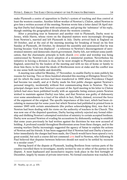make Plymouth a centre of opposition to Darby's system of teaching and thus control at least the western counties. Another fellow-worker of Newton's, Clulow, asked Newton to give him a written account of the meeting; Newton wrote him a letter dated 18 April stating that Darby had charged him with sectarianism, and giving the 'substance' of his reply, though omitting the geographical details about the western counties.

After a preaching tour in Somerset and another visit to Plymouth, Darby went to Jersey, while Harris, whose views on the disputed matters were increasingly diverging from Newton's, married and left Plymouth in July. Darby arrived back in England on 18 October, and at the end of the morning meeting for breaking of bread on his first Sunday at Plymouth, 26 October, he detained the assembly and announced that he was leaving because 'God was displaced' – a reference to Newton's discouragement of unrestrained ministry and democratic church government. Darby felt, not without some justification, that the charismatic principle in both church {232} order and worship was being contravened by Newton's *de facto* adoption of a ministerial position. Nevertheless his initiative in forcing a division is clear, for he went straight to Plymouth on his return to England, uninvited by the leaders of the meeting and with no ties of home or family to draw him there; to his mind the ideals of Brethrenism were at stake and the conflict was in one sense both inevitable and desirable.

A meeting was called for Monday, 17 November, to enable Darby to state publicly his reasons for leaving. Two or three hundred attended this meeting at Ebrington Street Chapel (to which the main services had been transferred in 1840 when Providence Chapel had become too small), and at it Darby made his first public charges against Newton's personal integrity, incidentally without first communicating them to Newton. The two principal charges were that Newton's account of the April meeting in his letter to Clulow (which had since been published locally with an appendix listing sixteen points Newton wished to maintain against Darby) was false, and that Newton was guilty of dishonesty over some amendments to a tract of his which in fact, Darby claimed, reversed the force of the argument of the original. The specific importance of this tract, which had been circulating in manuscript for some years but which Newton had published in printed form in summer 1845 with certain amendments (the preface acknowledging this), was that in it Newton had been dealing with his views on the authority of teachers in the Church. This was now one of the disputed questions, Darby having entirely rejected any formal eldership and disliking Newton's attempted restriction of ministry to certain accepted brethren. Darby now accused Newton of evading his accusations by dishonestly seeking to establish that some years previously he had written against the doctrines he was now accused of holding. A profound scandal throughout Brethrenism arose from these charges, and in the ensuing warfare Darby increasingly suggested the agency of Satan to explain the actions of Newton and his friends. It has been suggested that if Newton had sent Darby a lawyer's letter immediately the charges had been made, the Church would have been spared a very great scandal, but such a course did not commend {233} itself to Newton, who following St Paul believed that disputes between believers should not need to be settled by recourse to a secular court.<sup>25</sup>

Having heard of the dispute at Plymouth, leading Brethren from various parts of the country travelled there to investigate, mostly invited by one or other of the parties in the dispute. A most haphazard and inconclusive inquiry took place in the first fortnight of December, largely by means of private interviews. No formal conclusion was reached, but

<sup>25</sup> Neatby, *op. cit.*, p. 155.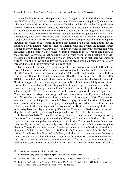of the ten leading Brethren principally involved, Congleton and Rhind (the latter also on behalf of Richards, Moseley and Morris) wrote to Newton exculpating him<sup>26</sup>, while on the other hand at least three of the ten, Wigram, McAdam and Sir Alexander Campbell, later became passionate partisans of Darby. However as a result Soltau signed a note on 17 December informing the Ebrington Street Church that in his judgment and that of Batten, Dyer and Clulow (co-workers with Newton) the charges against Newton had been satisfactorily answered. Darby was away from Plymouth for a fortnight, having asked Congleton and others to try to arrange a full church meeting to hear his charges against Newton, but when on his return he found that nothing had been done about this, he founded a rival meeting, with the help of Wigram, who still owned the Raleigh Street Chapel and provided it for Darby's use. The first services of this rival congregation were on Sunday, 28 December, 1845, when Wigram preached in the afternoon and Darby in the evening.<sup>27</sup> Darby states that he had hired a private room for the breaking-of-bread, presumably on that Sunday, expecting five or six to attend, but in fact there were fifty or sixty.<sup>28</sup> From the following Sunday the breaking-of-bread was held regularly in Raleigh Street Chapel, and the division was thus confirmed.

On Sunday, 11 January, 1846, at the meeting for breaking-of-bread at Rawstorne Street Chapel in London, Congleton accused Wigram of helping Darby to make a schism at {234} Plymouth. Since the meeting would not take up the matter Congleton withdrew from it, and afterwards refused to take sides with either Newton or Darby, though after 1848 he was in fellowship with Open Brethren. The Brethren in London tried to persuade Newton to appear before a meeting at Rawstorne Street, but he resolutely refused to do this, on the ground that such a meeting could not be a competent judicial assembly, his own church having already vindicated him. The first set of meetings to which he was invited, in April 1846, took place regardless of his absence; one of the leading figures was Chapman from Barnstaple, who suggested that the real trouble at Plymouth had simply been Newton's concentration of authority in himself. However, after 1848 Chapman too was in fellowship with Open Brethren. In 1846 Darby spent most of his time at Plymouth, where a tremendous undercover campaign was waged by both sides to recruit the uncommitted; it was in this campaign that the women of the Brethren community, hitherto in enforced quiescence, played a most significant part. The fact that Darby was an extremely eligible bachelor of forty-five may have played no small part in this proceeding.

In November 1846 Darby's *Narrative of the facts, connected with the separation of the writer from the congregation meeting in Ebrington Street* was published; this tract is a passionate party pamphlet, and while it is certain that Darby would never have been intentionally untruthful, he invariably throws the benefit of the doubt in the scale against Newton. The pacific and fair-minded Congleton, a member of the Brethren since the beginnings in Dublin, wrote in February 1847 of Darby's account: 'As to John Darby's narratives, I am thoroughly disgusted with them, both the spirit of them and the falseness of them, though I do not charge him with intentional falsehood. He seems to me like a man intoxicated. I trust he will soon come to his senses …'<sup>29</sup> A further series of meetings was held at Rawstorne Street in November 1846, to which Newton once more refused to

<sup>26</sup> The original letters are in the Fry collection.

<sup>27</sup> Letter from Congleton to Berger, 4 April, 1846, in the Fry collection.

<sup>28 &#</sup>x27;Narrative of the Facts …' in *Collected Writings of J. N. D.*, Ecclesiastical Vol. IV, p. 78.

<sup>29</sup> Letter from Congleton to Newton, 10 February, 1847, in the Fry collection, 1847, Folio 2. Newton had asked Congleton to visit Plymouth, but he wrote to decline.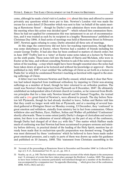come, although he made a brief visit to London {235} about this time and offered to answer privately any questions which were put to him. Newton's London visit was made the excuse for a note dated 13 December which was sent to him 'on behalf of the saints meeting at Rawstorne Street' – though by Darby's own admission there were dissentients at the meeting when this action was decided upon<sup>30</sup> – which refused him communion there. Since he had not applied for communion this was tantamount to an act of excommunication, and it was treated as such by its recipient in a lengthy 'Remonstrance' published on Christmas Day 1846. A final series of meetings was held at Rawstorne Street in February 1847, Newton again refusing to come; Darby attended all three sets of meetings.

At this stage the controversy did not have far-reaching repercussions, though there was some disturbance at Exeter, where Newton had a number of friends including his cousin George Treffry. It had also thus far been confined to matters of church order; but in June 1847 Treffry lent to a 'sister' at Exeter some notes taken at a lecture by Newton on the sixth psalm. These notes fell into the hands of Harris and McAdam, who were in Exeter at the time, and without consulting Newton to ask if the notes were a fair representation of his teaching – a step which might have been thought essential since the notes had been taken down at speed as he lectured and without his knowledge or approval – Harris published in July 1847 a tract entitled 'the sufferings of Christ as set forth in a lecture on Psalm Six' in which he condemned Newton's teaching as heretical with regard to the atoning sufferings of Christ.

A bitter tract war between Newton and Darby ensued, which made it clear that Newton had indeed departed from traditional orthodoxy by imputing to Christ non-atoning sufferings as a member of Israel, though he later returned to an orthodox position. The result was Newton's final departure from Plymouth on 8 December, 1847. He ultimately established an independent ultra-Calvinist church in London, so far removed from Brethren principles that for a time only Newton himself and Dr Samuel Tregelles, the textual critic and a {236} great friend of Newton's, were allowed to preach. The day before Newton left Plymouth, though he had already decided to leave, Soltau and Batten told him that they could no longer work with him at Plymouth, and at a meeting of several hundred gathered at Ebrington Street on Monday evening, 13 December, they 'confessed' in great emotion and withdrew, statedly from ministry but in fact from communion. Others withdrew also and Batten, Dyer, Haffner, Soltau and Walker all published 'Confessions' shortly afterwards. These to some extent justify Darby's charges of clericalism and sectarianism, but there is no admission of moral obliquity on the part of any of the confessors, though Darby had charged all of then  ${s_{\rm ic}}$  with this.<sup>31</sup> One matter which Haffner made much of confessing was that Newton had been accustomed to prepare sermons and ministry before delivery, in practical denial of the leading of the Holy Spirit; mention has already been made that in exclusivism specific preparation was deemed wrong. Tregelles was most distressed by these 'confessions' which he believed to have been made under great emotional pressure, and a reply to parts of them was drawn up under his guidance and published on 10 January, 1848. This 'statement from Christians assembling in the

<sup>30 &#</sup>x27;Account of the proceedings at Rawstorne Street in November and December 1846' in *Collected Writings of J. N. D.*, Ecclesiastical Vol. IV, *op. cit.*, pp. 141–3.

<sup>31</sup> Neatby, *op.cit.*, p. 140. The best objective contemporary account of the whole dispute is the anonymous tract 'A retrospect of events that have taken place amongst the Brethren', London, 1849. This appears to have been written by someone particularly well informed though not a member of the Brethren. It was accompanied by a companion tract 'An appendix illustrating ...' which gives four of the confessions. (BML 4135.e.36(1) and (2).)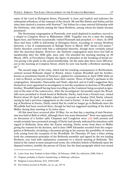name of the Lord in Ebrington Street, Plymouth' is clear and explicit and indicates the substantial orthodoxy of the remnant of the church. Mr and Mrs Batten and Soltau and his sister later desired a reunion with Newton<sup>32</sup>, but Soltau for a time entered fellowship with the Darbyites, only latterly joining the Open Brethren, among whom his family became prominent.

The Newtonian congregation at Plymouth, now much depleted in numbers, moved to a chapel in Compton Street in Midsummer 1848. Tregelles was for a time the leading figure here, and Newton occasionally visited Plymouth and preached {237} there. In 1845 there had been 1,000 in fellowship at Ebrington Street, according to various Brethren histories; a list of communicants at Raleigh Street in March 1847 shows 210 names.<sup>33</sup> Darby therefore carried with him a substantial minority, though more certainly joined after the doctrinal dispute. However, the Darbyite congregation must have lost half its membership after the 1848 split, since only 116 attended the morning meeting on 30 March, 1851, at Providence Chapel, the figure of attenders at the breaking-of-bread service giving a fair guide to the actual membership. On the same date there were 280 present in the morning at Compton Street, which by now was hardly a Brethren meeting at all $^{34}$ 

The second stage of the crisis, which had far-reaching consequences in Brethrenism, centred around Bethesda chapel at Bristol, where Captain Woodfall and his brother, known as prominent friends of Newton's, applied for communion in April 1848 while on a visit to Bristol, as had previously been their custom. Three of Darby's partisans in the congregation, Alexander, Stancombe and Nash, objected, and at Craik's suggestion they themselves were appointed as investigators to test the soundness in doctrine of Woodfall's brother, Woodfall himself having been travelling on the Continent being accepted as ignorant of the state of the controversy. After the investigators' favourable report the Woodfalls were permitted to break bread at Bethesda. Darby, back from a French tour, visited Bristol about 20 April and Müller asked him to preach on Sunday 23rd; Darby refused, saying he had a previous engagement on the road to Exeter. A few days later, at a meeting of Brethren in Exeter, Darby stated that he could no longer go to Bethesda since the Woodfalls had been received there, though he had not suggested anything of the kind to Müller during their meeting or by letter since.

All this must have occurred after 10 May, for on that day a meeting of anti-Newtonians was held at Bath at which, although there was some dissension<sup>35</sup> there was apparently no discussion of a further split; Chapman and Congleton were {238} both present and would certainly have protested strongly if Darby had already indicated his intentions with regard to Bethesda. Soon after the Exeter meeting, Darby wrote from there to Müller giving the reasons for his decision, and in June 1848 Alexander seceded from the congregation at Bethesda, circulating a document giving as his reasons the possibility of various evils arising from the reception of the Woodfalls. On Thursday 29 June a letter setting forth the communion principles of the Bethesda assembly and signed by the ten leading Brethren, was read with explanatory comments to a church meeting at Bethesda. This stated at the outset in most unequivocal terms, the orthodox beliefs of Bethesda upon the disputed matters, notably the person of Christ, but the fatal paragraph which was seized

<sup>32</sup> Letter from Amy Toulmin to Kate Gidley, 26 February, 1848, Fry collection, 1848, Folio 6.

<sup>33</sup> Original, probably in Darby's handwriting, in Sibthorpe collection.

<sup>34</sup> Religious Census Returns, H.O. 129/11/287.

<sup>35</sup> Eye-witness account in Neatby, *op. cit.*, pp. 147–8.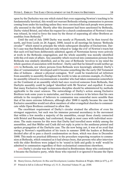upon by the Darbyites was one which stated that even supposing Newton's teaching to be fundamentally heretical, this would not warrant Bethesda refusing communion to persons coming from under his teaching unless they were convinced that such people were personally unsound in the faith. Shortly after this document had been sanctioned by Bethesda, Darby visited Bristol, and when his request for a church condemnation of Newton's tracts was refused, he tried to force the issue by the threat of separating all other Brethren assemblies from Bethesda.<sup>36</sup>

Until the end of July 1848 Darby was mostly at Plymouth, but he then toured the north, and from Leeds on 26 August, 1848, issued to all meetings his famous 'Bethesda circular<sup>37</sup> which stated in principle the whole subsequent discipline of Exclusivism. Darby's case was that Bethesda had not only refused to 'judge the evil' of Newton's tracts but that such evil had been deliberately admitted; agents of Newtonian heresy were actively at work in the Bethesda congregation; and the whole assembly was morally identified with this evil state of affairs. Any assembly which received into communion persons from Bethesda was similarly identified, and so the case of Bethesda 'involves to my mind the whole question of association with brethren'. Darby said that he himself would neither go {239} to Bethesda, nor where persons from Bethesda were knowingly admitted. Darby's idea of 'contamination' developed until it became something like the early Old Testament idea of holiness – almost a physical contagion. 'Evil' could be transferred *ad infinitum* from assembly to assembly throughout the world; to take an extreme example, if a Darbyite assembly refused to excommunicate a member who had taken communion somewhere on the Continent at an assembly which had once received someone from Bethesda, that Darbyite assembly could be judged 'identified with Mr Newton' and expelled. It seems that many Exclusives thought communion discipline should be administered by methods applicable to the exact sciences. The outworkings of Darby's action among Exclusive Brethren took some years to materialise, and there is evidence in his letters that his own attitude to the reception of believers to communion was somewhat more sensible than that of his more extreme followers, although after 1848 it rapidly became the case that Exclusive assemblies would not allow members of other evangelical churches to communicate while Open Brethren continued to allow this.

The exorbitant requirement of Darby's circular strained the affection of even his strongest supporters, but such was his immense personal ascendancy in the movement that within a few months a majority of the assemblies, except those closely connected with Bristol and Barnstaple, had conformed, though in most cases with individual secessions. The main reasons for this were that Darby had travelled more widely among the assemblies, and that Müller and Craik did not reply in print to the assiduous printed and spoken propagation of the Darbyite case. The die now being cast, it was of no avail that owing to Newton's republication of his tracts in summer 1848 the leaders at Bethesda decided after all to pass a church condemnation on them, which was done in December 1848. This made no practical difference to the procedure respecting reception to communion at Bethesda, which remained as it had always been, that persons who after interview with the elder Brethren were judged to be 'sound in faith and godly in walk' would be admitted to communion regardless of their ecclesiastical connections elsewhere.

{240} Darby's circular was the first watershed in Brethrenism: those who conformed to it became the Exclusive party, while those who rejected it or ignored it became the Open

<sup>36</sup> Henry Groves, *Darbyism: Its Rise and Development*, London: Houlston & Wright, 1866 (or 67?), p. 47.

<sup>37</sup> Printed in full in *Collected Writings of J. N. D.*, Doctrinal Volume IV, pp. 253ff.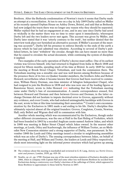Brethren. After the Bethesda condemnation of Newton's tracts it seems that Darby made an attempt at a reconciliation. At ten to one on a day in July 1849 Darby called on Müller at his recently opened Orphan House on Ashley Down, Bristol, and said that as Bethesda had now judged the tracts there was no longer any reason why they should be separated. Müller replied that he had an engagement at one, and in any case since Darby had acted so wickedly in the matter there was no time to enter upon it immediately; whereupon Darby left and the two leaders never met again. This account was given by Müller, and Darby later stated that it was 'utterly contrary to the truth', but neither denied that the interview took place nor furnished an alternative account. If Müller's account of the meeting was accurate<sup>38</sup>, Darby left his presence to enforce literally to the ends of the earth a decree which he had just admitted was obsolete. According to several of Darby's published letters, he later 'withdrew' the circular, though this can have meant no more than that he ceased to circulate the actual document, while continuing the system of discipline it implied.

Two examples of the early operation of Darby's decree must suffice. One of its earliest victims was Groves himself, who had returned to England from India in March 1848 and stayed for fifteen months, spending much of his time at Bristol. In early 1849 he visited the meeting at Brook Street Chapel, Tottenham, and took the communion there. The Tottenham meeting was a sizeable one and was well known among Brethren because of the presence there of its two ex-Quaker founder-members, the brothers John and Robert Howard; nevertheless when it became known that Groves had been received to communion, William Henry Dorman, one-time minister of Islington Independent Chapel, who had resigned to join the Brethren in 1838 and who was now one of the leading figures at Rawstorne Street, wrote to John Howard {241} indicating that the Tottenham meeting came under Darby's ban of excommunication. A caustic correspondence ensued, first between Howard and Dorman and then between Groves and Dorman; in the latter exchange Dorman did not hesitate to impute doctrinal error to Groves, apparently without any evidence, and even Cronin, who had endured unimaginable hardships with Groves in the east, wrote to him at this time terminating their association.<sup>39</sup> Cronin's own excommunication by the Exclusives in 1881 made a sad ending to his life. Darby's discipline thus ultimately rejected almost all the original founders: Groves, Congleton, Cronin, Newton, Hall; only Bellett and Wigram died still in communion with him.

Another whole meeting which was excommunicated by the Exclusives, though under rather different circumstances, was the one at Hull in the East Riding of Yorkshire, which had been founded in 1843 by a seceded Anglican curate named Andrew Jukes, and which in 1848 was meeting in Baker Street Chapel which Jukes owned. In the nearest other meetings, at Leeds, Otley and Scarborough, the influence of William Trotter, an ex-Methodist New Connexion minister and a strong supporter of Darby, was paramount. In November 1848 the Leeds and Otley meetings issued a circular to neighbouring assemblies which was an echo of Darby's. The ensuing correspondence between Jukes, on behalf of the meeting at Hull, and Willans and Trotter, the leaders at Leeds and Otley respectively, sheds most interesting light on the informal power structure which had grown up among

<sup>38</sup> The evidence about this meeting is marshalled and reviewed in G. H. Lang, *Antony* {sic} *Norris Groves, saint and pioneer*, London, 1939, pp. 419–30.

<sup>39</sup> Neatby, *op. cit.*, pp. 179ff. Dorman was one of the most relentless ministers of Exclusive discipline until 1866, when in company with Captain Hall and some other less well-known Brethren he seceded from Exclusivism during a controversy over Darby's doctrines of the sufferings of Christ, which appeared to those Brethren to approximate to those held by Newton in 1847.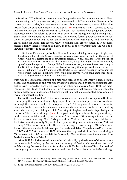the Brethren.<sup>40</sup> The Brethren were universally agreed about the heretical nature of Newton's teaching, and the great majority of them agreed with Darby against Newton in the matter of church order, but they were not agreed about the necessary course of discipline arising from the situation. Further, in the case of {242} Müller and Craik it seemed to Jukes and many others that no doctrine was at stake, and that they had been judged and excommunicated solely for refusal to submit to an ecclesiastical ruling; yet such a ruling was *a priori* impossible among the Brethren since there was no formal power structure. Nevertheless everyone knew that the real authority lay in effect with Darby, and this was the crucial issue for Jukes. His second reply to Willans and Trotter, dated 27 November, makes a thinly veiled reference to Darby in reply to their warning that 'the wolf (i. e. Newton's doctrine) is at the door':

Such a wolf may, and probably will, come in sheep's clothing, as an angel of light, yea, transforming himself into Christ's apostle, professing great zeal, in word, for the person of Christ, while he is tearing the body of Christ to pieces. … Who, I ask, has scattered the sheep in Yorkshire? Is it Mr. Newton and his views? Nay, verily, for as you know, we are fully agreed upon these points. … George Müller I have never seen, nor have I ever been at any of the Bristol meetings; while to you I am bound by many ties, of personal favours as well as grace. But I know 'the faith' of many of the Bristol saints, that it is 'spoken of throughout the whole world'. And I see not how or why, while personally they are pure, I am to judge them, or to be judged for willingness to receive them.

Such was the considered opinion of a man who refused to accept Darby's decree simply because he had signed it, and who was evidently not influenced by existing personal association with Bethesda. There were however no other neighbouring Open Brethren meetings with which Jukes could easily fall into association, so that his congregation gradually approximated to an independent Baptist chapel in which Jukes adopted more openly a formal ministerial position.

One of the results of the 1848 schism was to increase the number of separate Brethren meetings by the addition of minority groups of one or the other party in various places. Although the summary tables of the report of the 1851 Religious Census are inaccurate, listing as Brethren assemblies some communities which were not Brethren, and omitting some which were, the total figure of 132 meetings in England and Wales is probably near the truth. The relative strength {243} of the parties at Plymouth has been given, though neither was associated with Open Brethren. There were 150 morning attenders at the Leeds Exclusive meeting, 30 at Pudsey and 80 at York; at Hereford Percy Hall had an Exclusive minority of only 30, while the Open meeting had an attendance of 250 that morning.<sup>41</sup> The Census returns for Bristol are missing, but according to Müller's Annual Reports the total number in fellowship at Bethesda and Salem Chapels was 675 at the end of 1847 and 612 at the end of 1850; this was the only period of decline, and during it Müller records that 82 persons left the fellowship. Most of these were the nucleus of the Darbyite assembly in Bristol.

After 1848 Exclusive cohesion was effected primarily by the decrees of the metropolitan meeting in London, by the personal supremacy of Darby, who continued to travel widely among the assemblies, and from the late 1870s by the issue of lists of accredited meetings, a practice whose necessity was confirmed by the schisms of the 1880s although

<sup>40</sup> A collection of tracts concerning Jukes, including printed letters from him to Willans and Trotter (14 November, 1848 and 27 November, 1848) is in Hull Cent. Lib. (L001.JUK).

<sup>41</sup> Religious Census Returns, H.O. 129, 23/501, 22/499, 23/515, 14/348.